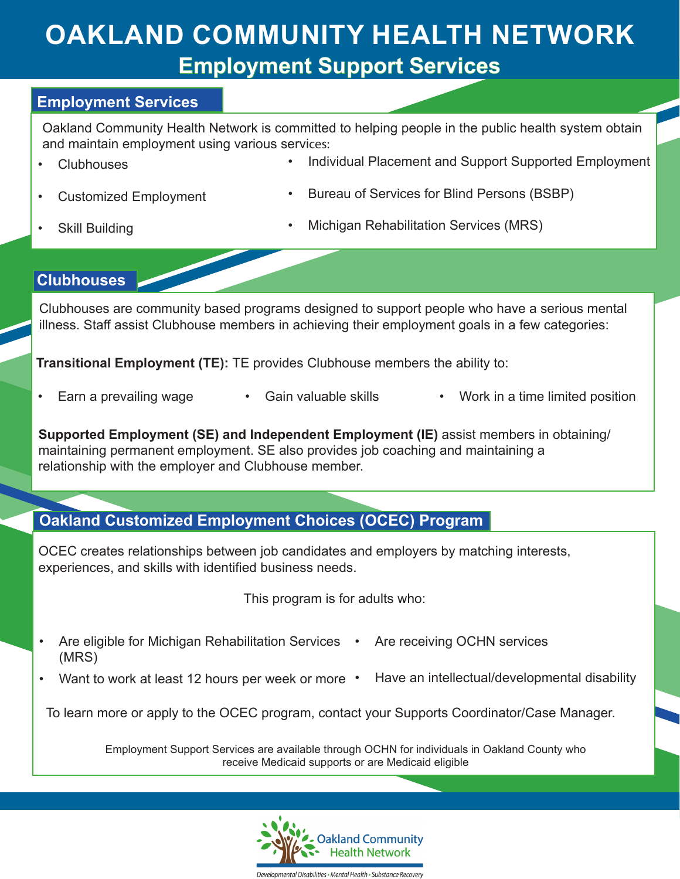# **Employment Support Services OAKLAND COMMUNITY HEALTH NETWORK**

#### **Employment Services**

Oakland Community Health Network is committed to helping people in the public health system obtain and maintain employment using various services:

• Clubhouses

- Individual Placement and Support Supported Employment
- Customized Employment
- Bureau of Services for Blind Persons (BSBP)

Skill Building

• Michigan Rehabilitation Services (MRS)

#### **Clubhouses**

Clubhouses are community based programs designed to support people who have a serious mental illness. Staff assist Clubhouse members in achieving their employment goals in a few categories:

**Transitional Employment (TE):** TE provides Clubhouse members the ability to:

- 
- Gain valuable skills Earn a prevailing wage • Gain valuable skills • Work in a time limited position
	-

**Supported Employment (SE) and Independent Employment (IE)** assist members in obtaining/ maintaining permanent employment. SE also provides job coaching and maintaining a relationship with the employer and Clubhouse member.

# **Oakland Customized Employment Choices (OCEC) Program**

OCEC creates relationships between job candidates and employers by matching interests, experiences, and skills with identified business needs.

This program is for adults who:

- Are eligible for Michigan Rehabilitation Services (MRS) Are receiving OCHN services
- Want to work at least 12 hours per week or more Have an intellectual/developmental disability

To learn more or apply to the OCEC program, contact your Supports Coordinator/Case Manager.

Employment Support Services are available through OCHN for individuals in Oakland County who receive Medicaid supports or are Medicaid eligible